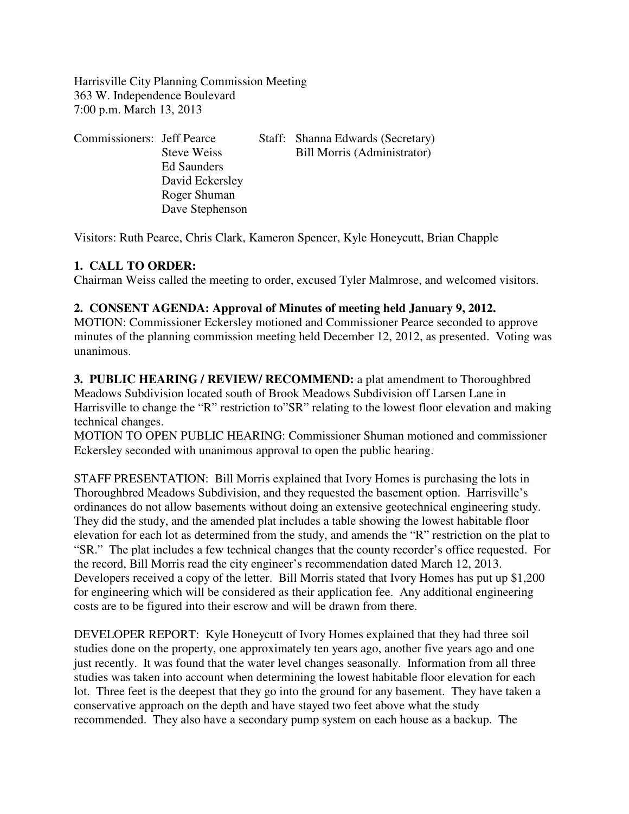Harrisville City Planning Commission Meeting 363 W. Independence Boulevard 7:00 p.m. March 13, 2013

| Commissioners: Jeff Pearce |                    | Staff: Shanna Edwards (Secretary) |
|----------------------------|--------------------|-----------------------------------|
|                            | <b>Steve Weiss</b> | Bill Morris (Administrator)       |
|                            | Ed Saunders        |                                   |
|                            | David Eckersley    |                                   |
|                            | Roger Shuman       |                                   |
|                            | Dave Stephenson    |                                   |

Visitors: Ruth Pearce, Chris Clark, Kameron Spencer, Kyle Honeycutt, Brian Chapple

# **1. CALL TO ORDER:**

Chairman Weiss called the meeting to order, excused Tyler Malmrose, and welcomed visitors.

# **2. CONSENT AGENDA: Approval of Minutes of meeting held January 9, 2012.**

MOTION: Commissioner Eckersley motioned and Commissioner Pearce seconded to approve minutes of the planning commission meeting held December 12, 2012, as presented. Voting was unanimous.

**3. PUBLIC HEARING / REVIEW/ RECOMMEND:** a plat amendment to Thoroughbred Meadows Subdivision located south of Brook Meadows Subdivision off Larsen Lane in Harrisville to change the "R" restriction to"SR" relating to the lowest floor elevation and making technical changes.

MOTION TO OPEN PUBLIC HEARING: Commissioner Shuman motioned and commissioner Eckersley seconded with unanimous approval to open the public hearing.

STAFF PRESENTATION: Bill Morris explained that Ivory Homes is purchasing the lots in Thoroughbred Meadows Subdivision, and they requested the basement option. Harrisville's ordinances do not allow basements without doing an extensive geotechnical engineering study. They did the study, and the amended plat includes a table showing the lowest habitable floor elevation for each lot as determined from the study, and amends the "R" restriction on the plat to "SR." The plat includes a few technical changes that the county recorder's office requested. For the record, Bill Morris read the city engineer's recommendation dated March 12, 2013. Developers received a copy of the letter. Bill Morris stated that Ivory Homes has put up \$1,200 for engineering which will be considered as their application fee. Any additional engineering costs are to be figured into their escrow and will be drawn from there.

DEVELOPER REPORT: Kyle Honeycutt of Ivory Homes explained that they had three soil studies done on the property, one approximately ten years ago, another five years ago and one just recently. It was found that the water level changes seasonally. Information from all three studies was taken into account when determining the lowest habitable floor elevation for each lot. Three feet is the deepest that they go into the ground for any basement. They have taken a conservative approach on the depth and have stayed two feet above what the study recommended. They also have a secondary pump system on each house as a backup. The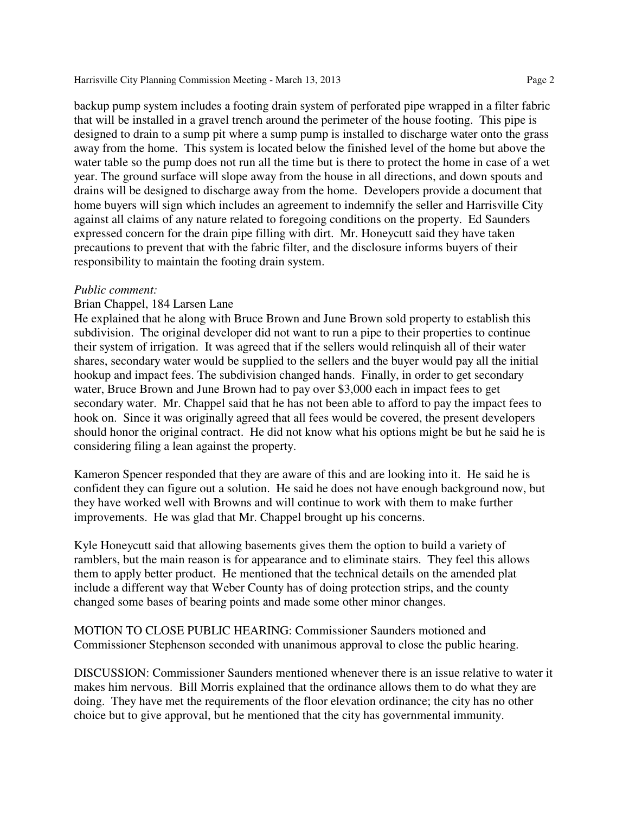#### Harrisville City Planning Commission Meeting - March 13, 2013 Page 2

backup pump system includes a footing drain system of perforated pipe wrapped in a filter fabric that will be installed in a gravel trench around the perimeter of the house footing. This pipe is designed to drain to a sump pit where a sump pump is installed to discharge water onto the grass away from the home. This system is located below the finished level of the home but above the water table so the pump does not run all the time but is there to protect the home in case of a wet year. The ground surface will slope away from the house in all directions, and down spouts and drains will be designed to discharge away from the home. Developers provide a document that home buyers will sign which includes an agreement to indemnify the seller and Harrisville City against all claims of any nature related to foregoing conditions on the property. Ed Saunders expressed concern for the drain pipe filling with dirt. Mr. Honeycutt said they have taken precautions to prevent that with the fabric filter, and the disclosure informs buyers of their responsibility to maintain the footing drain system.

### *Public comment:*

### Brian Chappel, 184 Larsen Lane

He explained that he along with Bruce Brown and June Brown sold property to establish this subdivision. The original developer did not want to run a pipe to their properties to continue their system of irrigation. It was agreed that if the sellers would relinquish all of their water shares, secondary water would be supplied to the sellers and the buyer would pay all the initial hookup and impact fees. The subdivision changed hands. Finally, in order to get secondary water, Bruce Brown and June Brown had to pay over \$3,000 each in impact fees to get secondary water. Mr. Chappel said that he has not been able to afford to pay the impact fees to hook on. Since it was originally agreed that all fees would be covered, the present developers should honor the original contract. He did not know what his options might be but he said he is considering filing a lean against the property.

Kameron Spencer responded that they are aware of this and are looking into it. He said he is confident they can figure out a solution. He said he does not have enough background now, but they have worked well with Browns and will continue to work with them to make further improvements. He was glad that Mr. Chappel brought up his concerns.

Kyle Honeycutt said that allowing basements gives them the option to build a variety of ramblers, but the main reason is for appearance and to eliminate stairs. They feel this allows them to apply better product. He mentioned that the technical details on the amended plat include a different way that Weber County has of doing protection strips, and the county changed some bases of bearing points and made some other minor changes.

MOTION TO CLOSE PUBLIC HEARING: Commissioner Saunders motioned and Commissioner Stephenson seconded with unanimous approval to close the public hearing.

DISCUSSION: Commissioner Saunders mentioned whenever there is an issue relative to water it makes him nervous. Bill Morris explained that the ordinance allows them to do what they are doing. They have met the requirements of the floor elevation ordinance; the city has no other choice but to give approval, but he mentioned that the city has governmental immunity.